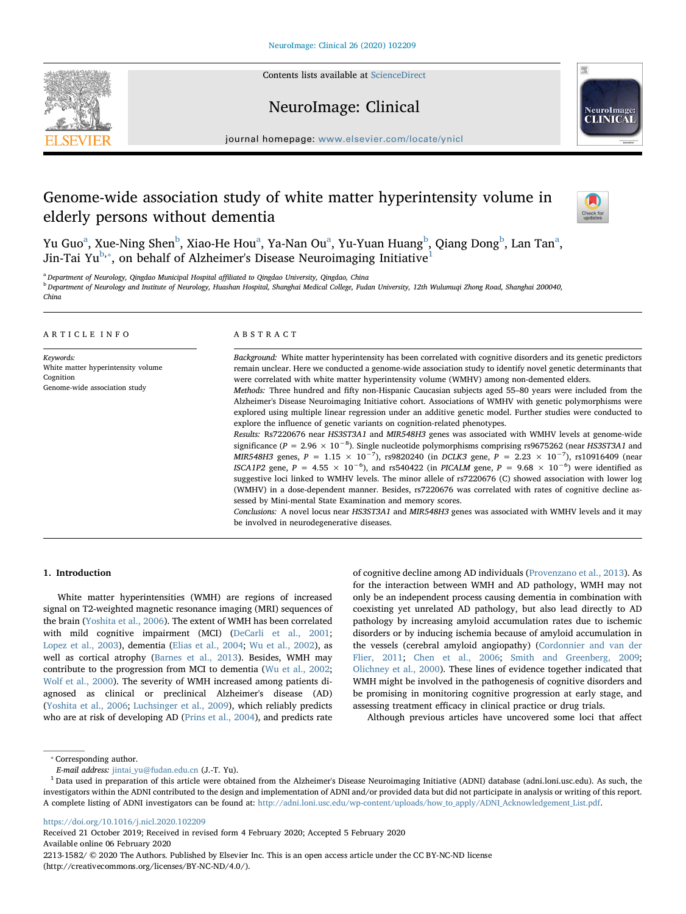Contents lists available at [ScienceDirect](http://www.sciencedirect.com/science/journal/22131582)





journal homepage: [www.elsevier.com/locate/ynicl](https://www.elsevier.com/locate/ynicl)

NeuroImage: Clinical

# Genome-wide association study of white matter hyperintensity volume in elderly persons without dementia



Yu Guo<sup>a</sup>, Xue-Ning Shen<sup>[b](#page-0-1)</sup>, Xi[a](#page-0-0)o-He Hou<sup>a</sup>, Ya-Nan Ou<sup>a</sup>, Yu-Yuan Huang<sup>b</sup>, Qiang Dong<sup>b</sup>, Lan Tan<sup>a</sup>, Jin-Tai Yu<sup>[b,](#page-0-1)\*</sup>, on behalf of Alzheimer's Disease Neuroimaging Initiative<sup>[1](#page-0-3)</sup>

<span id="page-0-1"></span><span id="page-0-0"></span><sup>a</sup> Department of Neurology, Qingdao Municipal Hospital affiliated to Qingdao University, Qingdao, China b Department of Neurology and Institute of Neurology, Huashan Hospital, Shanghai Medical College, Fudan University, 12th Wulumuqi Zhong Road, Shanghai 200040, China

| ARTICLE INFO                                                                                  | ABSTRACT                                                                                                                                                                                                                                                                                                                                                                                                                                                                                                                                                                                                                                                                                                                                                                                                                                                                                                                                                                                                                                                                                                                                                                                                                                                                                                                                                                                                                                                                                                                                                                                                                                                                            |  |  |  |
|-----------------------------------------------------------------------------------------------|-------------------------------------------------------------------------------------------------------------------------------------------------------------------------------------------------------------------------------------------------------------------------------------------------------------------------------------------------------------------------------------------------------------------------------------------------------------------------------------------------------------------------------------------------------------------------------------------------------------------------------------------------------------------------------------------------------------------------------------------------------------------------------------------------------------------------------------------------------------------------------------------------------------------------------------------------------------------------------------------------------------------------------------------------------------------------------------------------------------------------------------------------------------------------------------------------------------------------------------------------------------------------------------------------------------------------------------------------------------------------------------------------------------------------------------------------------------------------------------------------------------------------------------------------------------------------------------------------------------------------------------------------------------------------------------|--|--|--|
| Keywords:<br>White matter hyperintensity volume<br>Cognition<br>Genome-wide association study | Background: White matter hyperintensity has been correlated with cognitive disorders and its genetic predictors<br>remain unclear. Here we conducted a genome-wide association study to identify novel genetic determinants that<br>were correlated with white matter hyperintensity volume (WMHV) among non-demented elders.<br>Methods: Three hundred and fifty non-Hispanic Caucasian subjects aged 55–80 years were included from the<br>Alzheimer's Disease Neuroimaging Initiative cohort. Associations of WMHV with genetic polymorphisms were<br>explored using multiple linear regression under an additive genetic model. Further studies were conducted to<br>explore the influence of genetic variants on cognition-related phenotypes.<br>Results: Rs7220676 near HS3ST3A1 and MIR548H3 genes was associated with WMHV levels at genome-wide<br>significance ( $P = 2.96 \times 10^{-8}$ ). Single nucleotide polymorphisms comprising rs9675262 (near HS3ST3A1 and<br>MIR548H3 genes, $P = 1.15 \times 10^{-7}$ ), rs9820240 (in DCLK3 gene, $P = 2.23 \times 10^{-7}$ ), rs10916409 (near<br>ISCA1P2 gene, $P = 4.55 \times 10^{-6}$ ), and rs540422 (in PICALM gene, $P = 9.68 \times 10^{-6}$ ) were identified as<br>suggestive loci linked to WMHV levels. The minor allele of rs7220676 (C) showed association with lower log<br>(WMHV) in a dose-dependent manner. Besides, rs7220676 was correlated with rates of cognitive decline as-<br>sessed by Mini-mental State Examination and memory scores.<br>Conclusions: A novel locus near HS3ST3A1 and MIR548H3 genes was associated with WMHV levels and it may<br>be involved in neurodegenerative diseases. |  |  |  |

# 1. Introduction

White matter hyperintensities (WMH) are regions of increased signal on T2-weighted magnetic resonance imaging (MRI) sequences of the brain [\(Yoshita et al., 2006](#page-6-0)). The extent of WMH has been correlated with mild cognitive impairment (MCI) ([DeCarli et al., 2001](#page-5-0); [Lopez et al., 2003\)](#page-5-1), dementia ([Elias et al., 2004](#page-5-2); [Wu et al., 2002](#page-6-1)), as well as cortical atrophy [\(Barnes et al., 2013\)](#page-5-3). Besides, WMH may contribute to the progression from MCI to dementia [\(Wu et al., 2002](#page-6-1); [Wolf et al., 2000](#page-6-2)). The severity of WMH increased among patients diagnosed as clinical or preclinical Alzheimer's disease (AD) ([Yoshita et al., 2006;](#page-6-0) [Luchsinger et al., 2009](#page-5-4)), which reliably predicts who are at risk of developing AD [\(Prins et al., 2004](#page-6-3)), and predicts rate of cognitive decline among AD individuals ([Provenzano et al., 2013\)](#page-6-4). As for the interaction between WMH and AD pathology, WMH may not only be an independent process causing dementia in combination with coexisting yet unrelated AD pathology, but also lead directly to AD pathology by increasing amyloid accumulation rates due to ischemic disorders or by inducing ischemia because of amyloid accumulation in the vessels (cerebral amyloid angiopathy) [\(Cordonnier and van der](#page-5-5) [Flier, 2011](#page-5-5); [Chen et al., 2006](#page-5-6); [Smith and Greenberg, 2009](#page-6-5); [Olichney et al., 2000\)](#page-6-6). These lines of evidence together indicated that WMH might be involved in the pathogenesis of cognitive disorders and be promising in monitoring cognitive progression at early stage, and assessing treatment efficacy in clinical practice or drug trials.

Although previous articles have uncovered some loci that affect

<https://doi.org/10.1016/j.nicl.2020.102209>

Received 21 October 2019; Received in revised form 4 February 2020; Accepted 5 February 2020 Available online 06 February 2020

2213-1582/ © 2020 The Authors. Published by Elsevier Inc. This is an open access article under the CC BY-NC-ND license (http://creativecommons.org/licenses/BY-NC-ND/4.0/).

<span id="page-0-2"></span><sup>⁎</sup> Corresponding author.

E-mail address: [jintai\\_yu@fudan.edu.cn](mailto:jintai_yu@fudan.edu.cn) (J.-T. Yu).

<span id="page-0-3"></span> $1$  Data used in preparation of this article were obtained from the Alzheimer's Disease Neuroimaging Initiative (ADNI) database (adni.loni.usc.edu). As such, the investigators within the ADNI contributed to the design and implementation of ADNI and/or provided data but did not participate in analysis or writing of this report. A complete listing of ADNI investigators can be found at: [http://adni.loni.usc.edu/wp-content/uploads/how\\_to\\_apply/ADNI\\_Acknowledgement\\_List.pdf.](http://adni.loni.usc.edu/wp-content/uploads/how_to_apply/ADNI_Acknowledgement_List.pdf)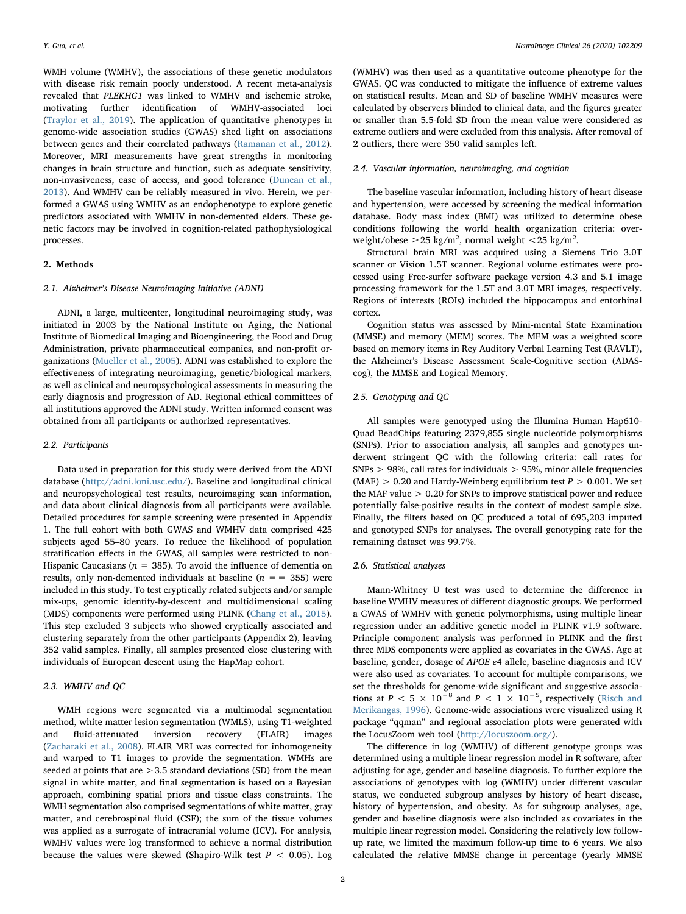WMH volume (WMHV), the associations of these genetic modulators with disease risk remain poorly understood. A recent meta-analysis revealed that PLEKHG1 was linked to WMHV and ischemic stroke, motivating further identification of WMHV-associated loci ([Traylor et al., 2019\)](#page-6-7). The application of quantitative phenotypes in genome-wide association studies (GWAS) shed light on associations between genes and their correlated pathways [\(Ramanan et al., 2012](#page-6-8)). Moreover, MRI measurements have great strengths in monitoring changes in brain structure and function, such as adequate sensitivity, non-invasiveness, ease of access, and good tolerance ([Duncan et al.,](#page-5-7) [2013\)](#page-5-7). And WMHV can be reliably measured in vivo. Herein, we performed a GWAS using WMHV as an endophenotype to explore genetic predictors associated with WMHV in non-demented elders. These genetic factors may be involved in cognition-related pathophysiological processes.

# 2. Methods

# 2.1. Alzheimer's Disease Neuroimaging Initiative (ADNI)

ADNI, a large, multicenter, longitudinal neuroimaging study, was initiated in 2003 by the National Institute on Aging, the National Institute of Biomedical Imaging and Bioengineering, the Food and Drug Administration, private pharmaceutical companies, and non-profit organizations [\(Mueller et al., 2005\)](#page-6-9). ADNI was established to explore the effectiveness of integrating neuroimaging, genetic/biological markers, as well as clinical and neuropsychological assessments in measuring the early diagnosis and progression of AD. Regional ethical committees of all institutions approved the ADNI study. Written informed consent was obtained from all participants or authorized representatives.

# 2.2. Participants

Data used in preparation for this study were derived from the ADNI database [\(http://adni.loni.usc.edu/\)](http://adni.loni.usc.edu/). Baseline and longitudinal clinical and neuropsychological test results, neuroimaging scan information, and data about clinical diagnosis from all participants were available. Detailed procedures for sample screening were presented in Appendix 1. The full cohort with both GWAS and WMHV data comprised 425 subjects aged 55–80 years. To reduce the likelihood of population stratification effects in the GWAS, all samples were restricted to non-Hispanic Caucasians ( $n = 385$ ). To avoid the influence of dementia on results, only non-demented individuals at baseline ( $n = 355$ ) were included in this study. To test cryptically related subjects and/or sample mix-ups, genomic identify-by-descent and multidimensional scaling (MDS) components were performed using PLINK [\(Chang et al., 2015](#page-5-8)). This step excluded 3 subjects who showed cryptically associated and clustering separately from the other participants (Appendix 2), leaving 352 valid samples. Finally, all samples presented close clustering with individuals of European descent using the HapMap cohort.

# 2.3. WMHV and QC

WMH regions were segmented via a multimodal segmentation method, white matter lesion segmentation (WMLS), using T1-weighted and fluid-attenuated inversion recovery (FLAIR) images ([Zacharaki et al., 2008\)](#page-6-10). FLAIR MRI was corrected for inhomogeneity and warped to T1 images to provide the segmentation. WMHs are seeded at points that are >3.5 standard deviations (SD) from the mean signal in white matter, and final segmentation is based on a Bayesian approach, combining spatial priors and tissue class constraints. The WMH segmentation also comprised segmentations of white matter, gray matter, and cerebrospinal fluid (CSF); the sum of the tissue volumes was applied as a surrogate of intracranial volume (ICV). For analysis, WMHV values were log transformed to achieve a normal distribution because the values were skewed (Shapiro-Wilk test  $P < 0.05$ ). Log

(WMHV) was then used as a quantitative outcome phenotype for the GWAS. QC was conducted to mitigate the influence of extreme values on statistical results. Mean and SD of baseline WMHV measures were calculated by observers blinded to clinical data, and the figures greater or smaller than 5.5-fold SD from the mean value were considered as extreme outliers and were excluded from this analysis. After removal of 2 outliers, there were 350 valid samples left.

# 2.4. Vascular information, neuroimaging, and cognition

The baseline vascular information, including history of heart disease and hypertension, were accessed by screening the medical information database. Body mass index (BMI) was utilized to determine obese conditions following the world health organization criteria: overweight/obese  $\geq$  25 kg/m<sup>2</sup>, normal weight < 25 kg/m<sup>2</sup>.

Structural brain MRI was acquired using a Siemens Trio 3.0T scanner or Vision 1.5T scanner. Regional volume estimates were processed using Free-surfer software package version 4.3 and 5.1 image processing framework for the 1.5T and 3.0T MRI images, respectively. Regions of interests (ROIs) included the hippocampus and entorhinal cortex.

Cognition status was assessed by Mini-mental State Examination (MMSE) and memory (MEM) scores. The MEM was a weighted score based on memory items in Rey Auditory Verbal Learning Test (RAVLT), the Alzheimer's Disease Assessment Scale-Cognitive section (ADAScog), the MMSE and Logical Memory.

# 2.5. Genotyping and QC

All samples were genotyped using the Illumina Human Hap610- Quad BeadChips featuring 2379,855 single nucleotide polymorphisms (SNPs). Prior to association analysis, all samples and genotypes underwent stringent QC with the following criteria: call rates for  $SNPs > 98\%$ , call rates for individuals  $> 95\%$ , minor allele frequencies (MAF)  $> 0.20$  and Hardy-Weinberg equilibrium test  $P > 0.001$ . We set the MAF value > 0.20 for SNPs to improve statistical power and reduce potentially false-positive results in the context of modest sample size. Finally, the filters based on QC produced a total of 695,203 imputed and genotyped SNPs for analyses. The overall genotyping rate for the remaining dataset was 99.7%.

#### 2.6. Statistical analyses

Mann-Whitney U test was used to determine the difference in baseline WMHV measures of different diagnostic groups. We performed a GWAS of WMHV with genetic polymorphisms, using multiple linear regression under an additive genetic model in PLINK v1.9 software. Principle component analysis was performed in PLINK and the first three MDS components were applied as covariates in the GWAS. Age at baseline, gender, dosage of APOE ε4 allele, baseline diagnosis and ICV were also used as covariates. To account for multiple comparisons, we set the thresholds for genome-wide significant and suggestive associations at  $P < 5 \times 10^{-8}$  and  $P < 1 \times 10^{-5}$ , respectively [\(Risch and](#page-6-11) [Merikangas, 1996\)](#page-6-11). Genome-wide associations were visualized using R package "qqman" and regional association plots were generated with the LocusZoom web tool (<http://locuszoom.org/>).

The difference in log (WMHV) of different genotype groups was determined using a multiple linear regression model in R software, after adjusting for age, gender and baseline diagnosis. To further explore the associations of genotypes with log (WMHV) under different vascular status, we conducted subgroup analyses by history of heart disease, history of hypertension, and obesity. As for subgroup analyses, age, gender and baseline diagnosis were also included as covariates in the multiple linear regression model. Considering the relatively low followup rate, we limited the maximum follow-up time to 6 years. We also calculated the relative MMSE change in percentage (yearly MMSE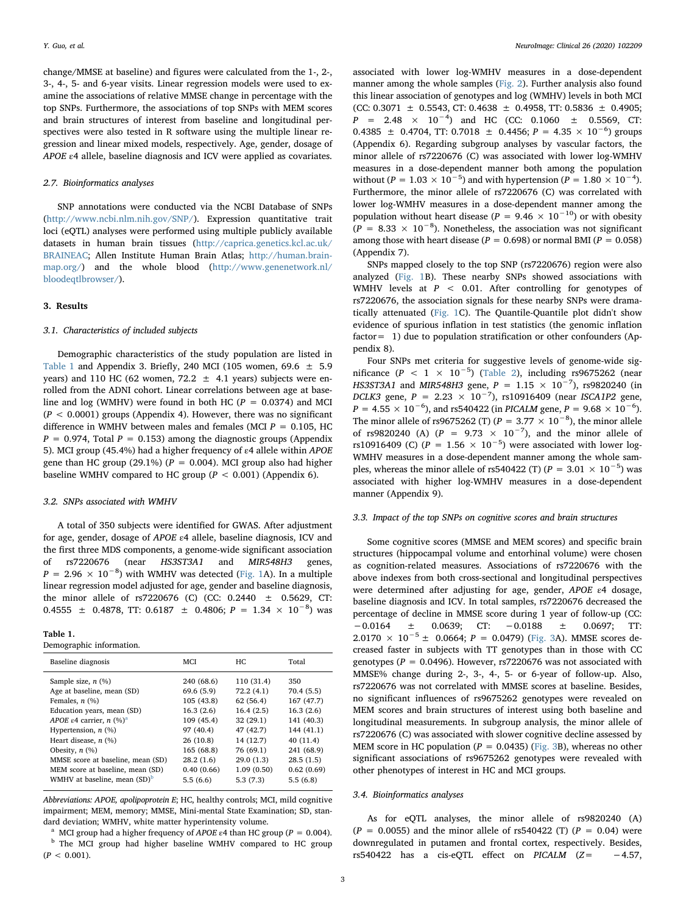change/MMSE at baseline) and figures were calculated from the 1-, 2-, 3-, 4-, 5- and 6-year visits. Linear regression models were used to examine the associations of relative MMSE change in percentage with the top SNPs. Furthermore, the associations of top SNPs with MEM scores and brain structures of interest from baseline and longitudinal perspectives were also tested in R software using the multiple linear regression and linear mixed models, respectively. Age, gender, dosage of APOE ε4 allele, baseline diagnosis and ICV were applied as covariates.

# 2.7. Bioinformatics analyses

SNP annotations were conducted via the NCBI Database of SNPs (<http://www.ncbi.nlm.nih.gov/SNP/>). Expression quantitative trait loci (eQTL) analyses were performed using multiple publicly available datasets in human brain tissues [\(http://caprica.genetics.kcl.ac.uk/](http://caprica.genetics.kcl.ac.uk/BRAINEAC) [BRAINEAC](http://caprica.genetics.kcl.ac.uk/BRAINEAC); Allen Institute Human Brain Atlas; [http://human.brain](http://human.brain-map.org/)[map.org/\)](http://human.brain-map.org/) and the whole blood ([http://www.genenetwork.nl/](http://www.genenetwork.nl/bloodeqtlbrowser/) [bloodeqtlbrowser/](http://www.genenetwork.nl/bloodeqtlbrowser/)).

# 3. Results

# 3.1. Characteristics of included subjects

Demographic characteristics of the study population are listed in [Table 1](#page-2-0) and Appendix 3. Briefly, 240 MCI (105 women, 69.6  $\pm$  5.9 years) and 110 HC (62 women, 72.2  $\pm$  4.1 years) subjects were enrolled from the ADNI cohort. Linear correlations between age at baseline and log (WMHV) were found in both HC ( $P = 0.0374$ ) and MCI  $(P < 0.0001)$  groups (Appendix 4). However, there was no significant difference in WMHV between males and females (MCI  $P = 0.105$ , HC  $P = 0.974$ , Total  $P = 0.153$ ) among the diagnostic groups (Appendix 5). MCI group (45.4%) had a higher frequency of ε4 allele within APOE gene than HC group (29.1%) ( $P = 0.004$ ). MCI group also had higher baseline WMHV compared to HC group ( $P < 0.001$ ) (Appendix 6).

#### 3.2. SNPs associated with WMHV

A total of 350 subjects were identified for GWAS. After adjustment for age, gender, dosage of APOE ε4 allele, baseline diagnosis, ICV and the first three MDS components, a genome-wide significant association of rs7220676 (near HS3ST3A1 and MIR548H3 genes,  $P = 2.96 \times 10^{-8}$ ) with WMHV was detected [\(Fig. 1A](#page-3-0)). In a multiple linear regression model adjusted for age, gender and baseline diagnosis, the minor allele of rs7220676 (C) (CC: 0.2440 ± 0.5629, CT: 0.4555  $\pm$  0.4878, TT: 0.6187  $\pm$  0.4806; P = 1.34  $\times$  10<sup>-8</sup>) was

# <span id="page-2-0"></span>Table 1.

| Demographic information. |  |
|--------------------------|--|
|--------------------------|--|

| Baseline diagnosis                       | <b>MCI</b> | HC.        | Total      |
|------------------------------------------|------------|------------|------------|
| Sample size, $n$ (%)                     | 240 (68.6) | 110 (31.4) | 350        |
| Age at baseline, mean (SD)               | 69.6 (5.9) | 72.2(4.1)  | 70.4 (5.5) |
| Females, $n$ $(\%)$                      | 105 (43.8) | 62(56.4)   | 167 (47.7) |
| Education years, mean (SD)               | 16.3(2.6)  | 16.4(2.5)  | 16.3(2.6)  |
| APOE $\varepsilon$ 4 carrier, n $(\%)^a$ | 109 (45.4) | 32(29.1)   | 141 (40.3) |
| Hypertension, $n$ (%)                    | 97 (40.4)  | 47 (42.7)  | 144 (41.1) |
| Heart disease, $n$ (%)                   | 26 (10.8)  | 14 (12.7)  | 40(11.4)   |
| Obesity, $n$ $(\%)$                      | 165 (68.8) | 76 (69.1)  | 241 (68.9) |
| MMSE score at baseline, mean (SD)        | 28.2(1.6)  | 29.0(1.3)  | 28.5(1.5)  |
| MEM score at baseline, mean (SD)         | 0.40(0.66) | 1.09(0.50) | 0.62(0.69) |
| WMHV at baseline, mean (SD) <sup>b</sup> | 5.5(6.6)   | 5.3(7.3)   | 5.5(6.8)   |

Abbreviations: APOE, apolipoprotein E; HC, healthy controls; MCI, mild cognitive impairment; MEM, memory; MMSE, Mini-mental State Examination; SD, standard deviation; WMHV, white matter hyperintensity volume.

<span id="page-2-2"></span><span id="page-2-1"></span>MCI group had a higher frequency of APOE  $\varepsilon$ 4 than HC group (P = 0.004). <sup>b</sup> The MCI group had higher baseline WMHV compared to HC group  $(P < 0.001)$ .

associated with lower log-WMHV measures in a dose-dependent manner among the whole samples ([Fig. 2\)](#page-3-1). Further analysis also found this linear association of genotypes and log (WMHV) levels in both MCI (CC: 0.3071  $\pm$  0.5543, CT: 0.4638  $\pm$  0.4958, TT: 0.5836  $\pm$  0.4905;  $P = 2.48 \times 10^{-4}$  and HC (CC: 0.1060 ± 0.5569, CT: 0.4385 ± 0.4704, TT: 0.7018 ± 0.4456;  $P = 4.35 \times 10^{-6}$ ) groups (Appendix 6). Regarding subgroup analyses by vascular factors, the minor allele of rs7220676 (C) was associated with lower log-WMHV measures in a dose-dependent manner both among the population without ( $P = 1.03 \times 10^{-5}$ ) and with hypertension ( $P = 1.80 \times 10^{-4}$ ). Furthermore, the minor allele of rs7220676 (C) was correlated with lower log-WMHV measures in a dose-dependent manner among the population without heart disease ( $P = 9.46 \times 10^{-10}$ ) or with obesity  $(P = 8.33 \times 10^{-8})$ . Nonetheless, the association was not significant among those with heart disease ( $P = 0.698$ ) or normal BMI ( $P = 0.058$ ) (Appendix 7).

SNPs mapped closely to the top SNP (rs7220676) region were also analyzed [\(Fig. 1](#page-3-0)B). These nearby SNPs showed associations with WMHV levels at  $P \leq 0.01$ . After controlling for genotypes of rs7220676, the association signals for these nearby SNPs were dramatically attenuated [\(Fig. 1C](#page-3-0)). The Quantile-Quantile plot didn't show evidence of spurious inflation in test statistics (the genomic inflation factor= 1) due to population stratification or other confounders (Appendix 8).

Four SNPs met criteria for suggestive levels of genome-wide significance  $(P < 1 \times 10^{-5})$  ([Table 2](#page-4-0)), including rs9675262 (near HS3ST3A1 and MIR548H3 gene,  $P = 1.15 \times 10^{-7}$ ), rs9820240 (in DCLK3 gene,  $P = 2.23 \times 10^{-7}$ ), rs10916409 (near ISCA1P2 gene,  $P = 4.55 \times 10^{-6}$ ), and rs540422 (in *PICALM* gene,  $P = 9.68 \times 10^{-6}$ ). The minor allele of rs9675262 (T) ( $P = 3.77 \times 10^{-8}$ ), the minor allele of rs9820240 (A) ( $P = 9.73 \times 10^{-7}$ ), and the minor allele of rs10916409 (C) ( $P = 1.56 \times 10^{-5}$ ) were associated with lower log-WMHV measures in a dose-dependent manner among the whole samples, whereas the minor allele of rs540422 (T) ( $P = 3.01 \times 10^{-5}$ ) was associated with higher log-WMHV measures in a dose-dependent manner (Appendix 9).

# 3.3. Impact of the top SNPs on cognitive scores and brain structures

Some cognitive scores (MMSE and MEM scores) and specific brain structures (hippocampal volume and entorhinal volume) were chosen as cognition-related measures. Associations of rs7220676 with the above indexes from both cross-sectional and longitudinal perspectives were determined after adjusting for age, gender, APOE ε4 dosage, baseline diagnosis and ICV. In total samples, rs7220676 decreased the percentage of decline in MMSE score during 1 year of follow-up (CC: −0.0164 ± 0.0639; CT: −0.0188 ± 0.0697; TT:  $2.0170 \times 10^{-5} \pm 0.0664$ ;  $P = 0.0479$ ) [\(Fig. 3](#page-4-1)A). MMSE scores decreased faster in subjects with TT genotypes than in those with CC genotypes ( $P = 0.0496$ ). However, rs7220676 was not associated with MMSE% change during 2-, 3-, 4-, 5- or 6-year of follow-up. Also, rs7220676 was not correlated with MMSE scores at baseline. Besides, no significant influences of rs9675262 genotypes were revealed on MEM scores and brain structures of interest using both baseline and longitudinal measurements. In subgroup analysis, the minor allele of rs7220676 (C) was associated with slower cognitive decline assessed by MEM score in HC population ( $P = 0.0435$ ) [\(Fig. 3](#page-4-1)B), whereas no other significant associations of rs9675262 genotypes were revealed with other phenotypes of interest in HC and MCI groups.

#### 3.4. Bioinformatics analyses

As for eQTL analyses, the minor allele of rs9820240 (A)  $(P = 0.0055)$  and the minor allele of rs540422 (T)  $(P = 0.04)$  were downregulated in putamen and frontal cortex, respectively. Besides, rs540422 has a cis-eQTL effect on PICALM (Z= −4.57,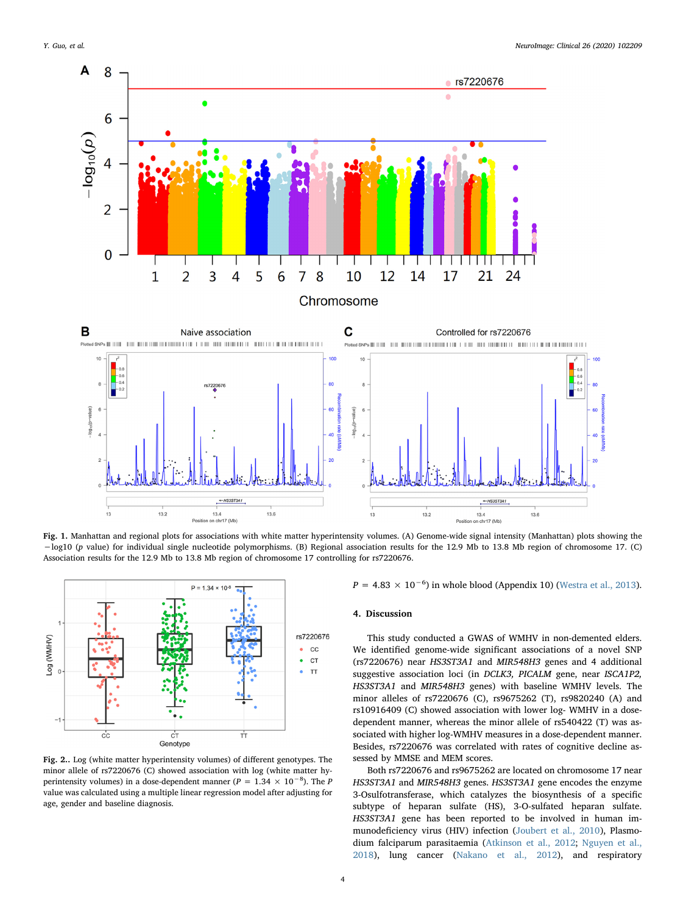<span id="page-3-0"></span>

Fig. 1. Manhattan and regional plots for associations with white matter hyperintensity volumes. (A) Genome-wide signal intensity (Manhattan) plots showing the −log10 (p value) for individual single nucleotide polymorphisms. (B) Regional association results for the 12.9 Mb to 13.8 Mb region of chromosome 17. (C) Association results for the 12.9 Mb to 13.8 Mb region of chromosome 17 controlling for rs7220676.

<span id="page-3-1"></span>

Fig. 2.. Log (white matter hyperintensity volumes) of different genotypes. The minor allele of rs7220676 (C) showed association with log (white matter hyperintensity volumes) in a dose-dependent manner ( $P = 1.34 \times 10^{-8}$ ). The P value was calculated using a multiple linear regression model after adjusting for age, gender and baseline diagnosis.

 $P = 4.83 \times 10^{-6}$ ) in whole blood (Appendix 10) [\(Westra et al., 2013](#page-6-12)).

### 4. Discussion

This study conducted a GWAS of WMHV in non-demented elders. We identified genome-wide significant associations of a novel SNP (rs7220676) near HS3ST3A1 and MIR548H3 genes and 4 additional suggestive association loci (in DCLK3, PICALM gene, near ISCA1P2, HS3ST3A1 and MIR548H3 genes) with baseline WMHV levels. The minor alleles of rs7220676 (C), rs9675262 (T), rs9820240 (A) and rs10916409 (C) showed association with lower log- WMHV in a dosedependent manner, whereas the minor allele of rs540422 (T) was associated with higher log-WMHV measures in a dose-dependent manner. Besides, rs7220676 was correlated with rates of cognitive decline assessed by MMSE and MEM scores.

Both rs7220676 and rs9675262 are located on chromosome 17 near HS3ST3A1 and MIR548H3 genes. HS3ST3A1 gene encodes the enzyme 3-Osulfotransferase, which catalyzes the biosynthesis of a specific subtype of heparan sulfate (HS), 3-O-sulfated heparan sulfate. HS3ST3A1 gene has been reported to be involved in human immunodeficiency virus (HIV) infection [\(Joubert et al., 2010](#page-5-9)), Plasmodium falciparum parasitaemia [\(Atkinson et al., 2012;](#page-5-10) [Nguyen et al.,](#page-6-13) [2018\)](#page-6-13), lung cancer ([Nakano et al., 2012\)](#page-6-14), and respiratory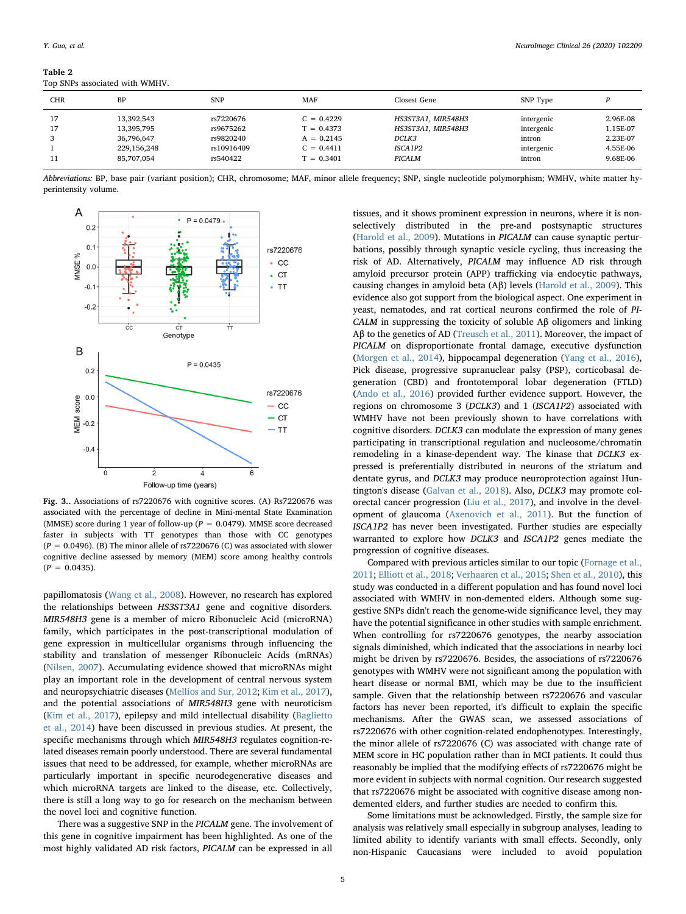<span id="page-4-0"></span>Table 2 Top SNPs associated with WMHV.

| <b>CHR</b> | BP                                     | <b>SNP</b>                          | MAF                                          | Closest Gene                                      | SNP Type                           |                                  |
|------------|----------------------------------------|-------------------------------------|----------------------------------------------|---------------------------------------------------|------------------------------------|----------------------------------|
| 17<br>3    | 13.392.543<br>13,395,795<br>36.796.647 | rs7220676<br>rs9675262<br>rs9820240 | $C = 0.4229$<br>$T = 0.4373$<br>$A = 0.2145$ | HS3ST3A1, MIR548H3<br>HS3ST3A1, MIR548H3<br>DCLK3 | intergenic<br>intergenic<br>intron | 2.96E-08<br>1.15E-07<br>2.23E-07 |
| 11         | 229,156,248<br>85.707.054              | rs10916409<br>rs540422              | $C = 0.4411$<br>$\Gamma = 0.3401$            | ISCA1P2<br>PICALM                                 | intergenic<br>intron               | 4.55E-06<br>9.68E-06             |

Abbreviations: BP, base pair (variant position); CHR, chromosome; MAF, minor allele frequency; SNP, single nucleotide polymorphism; WMHV, white matter hyperintensity volume.

<span id="page-4-1"></span>

Fig. 3.. Associations of rs7220676 with cognitive scores. (A) Rs7220676 was associated with the percentage of decline in Mini-mental State Examination (MMSE) score during 1 year of follow-up ( $P = 0.0479$ ). MMSE score decreased faster in subjects with TT genotypes than those with CC genotypes  $(P = 0.0496)$ . (B) The minor allele of rs7220676 (C) was associated with slower cognitive decline assessed by memory (MEM) score among healthy controls  $(P = 0.0435)$ .

papillomatosis [\(Wang et al., 2008\)](#page-6-15). However, no research has explored the relationships between HS3ST3A1 gene and cognitive disorders. MIR548H3 gene is a member of micro Ribonucleic Acid (microRNA) family, which participates in the post-transcriptional modulation of gene expression in multicellular organisms through influencing the stability and translation of messenger Ribonucleic Acids (mRNAs) ([Nilsen, 2007\)](#page-6-16). Accumulating evidence showed that microRNAs might play an important role in the development of central nervous system and neuropsychiatric diseases ([Mellios and Sur, 2012](#page-5-11); [Kim et al., 2017](#page-5-12)), and the potential associations of MIR548H3 gene with neuroticism ([Kim et al., 2017\)](#page-5-12), epilepsy and mild intellectual disability [\(Baglietto](#page-5-13) [et al., 2014](#page-5-13)) have been discussed in previous studies. At present, the specific mechanisms through which MIR548H3 regulates cognition-related diseases remain poorly understood. There are several fundamental issues that need to be addressed, for example, whether microRNAs are particularly important in specific neurodegenerative diseases and which microRNA targets are linked to the disease, etc. Collectively, there is still a long way to go for research on the mechanism between the novel loci and cognitive function.

There was a suggestive SNP in the PICALM gene. The involvement of this gene in cognitive impairment has been highlighted. As one of the most highly validated AD risk factors, PICALM can be expressed in all

tissues, and it shows prominent expression in neurons, where it is nonselectively distributed in the pre-and postsynaptic structures ([Harold et al., 2009](#page-5-14)). Mutations in PICALM can cause synaptic perturbations, possibly through synaptic vesicle cycling, thus increasing the risk of AD. Alternatively, PICALM may influence AD risk through amyloid precursor protein (APP) trafficking via endocytic pathways, causing changes in amyloid beta (Aβ) levels ([Harold et al., 2009](#page-5-14)). This evidence also got support from the biological aspect. One experiment in yeast, nematodes, and rat cortical neurons confirmed the role of PI-CALM in suppressing the toxicity of soluble Aβ oligomers and linking Aβ to the genetics of AD ([Treusch et al., 2011\)](#page-6-17). Moreover, the impact of PICALM on disproportionate frontal damage, executive dysfunction ([Morgen et al., 2014](#page-5-15)), hippocampal degeneration [\(Yang et al., 2016](#page-6-18)), Pick disease, progressive supranuclear palsy (PSP), corticobasal degeneration (CBD) and frontotemporal lobar degeneration (FTLD) ([Ando et al., 2016\)](#page-5-16) provided further evidence support. However, the regions on chromosome 3 (DCLK3) and 1 (ISCA1P2) associated with WMHV have not been previously shown to have correlations with cognitive disorders. DCLK3 can modulate the expression of many genes participating in transcriptional regulation and nucleosome/chromatin remodeling in a kinase-dependent way. The kinase that DCLK3 expressed is preferentially distributed in neurons of the striatum and dentate gyrus, and DCLK3 may produce neuroprotection against Huntington's disease [\(Galvan et al., 2018\)](#page-5-17). Also, DCLK3 may promote colorectal cancer progression ([Liu et al., 2017](#page-5-18)), and involve in the development of glaucoma [\(Axenovich et al., 2011\)](#page-5-19). But the function of ISCA1P2 has never been investigated. Further studies are especially warranted to explore how DCLK3 and ISCA1P2 genes mediate the progression of cognitive diseases.

Compared with previous articles similar to our topic ([Fornage et al.,](#page-5-20) [2011;](#page-5-20) [Elliott et al., 2018;](#page-5-21) [Verhaaren et al., 2015](#page-6-19); [Shen et al., 2010\)](#page-6-20), this study was conducted in a different population and has found novel loci associated with WMHV in non-demented elders. Although some suggestive SNPs didn't reach the genome-wide significance level, they may have the potential significance in other studies with sample enrichment. When controlling for rs7220676 genotypes, the nearby association signals diminished, which indicated that the associations in nearby loci might be driven by rs7220676. Besides, the associations of rs7220676 genotypes with WMHV were not significant among the population with heart disease or normal BMI, which may be due to the insufficient sample. Given that the relationship between rs7220676 and vascular factors has never been reported, it's difficult to explain the specific mechanisms. After the GWAS scan, we assessed associations of rs7220676 with other cognition-related endophenotypes. Interestingly, the minor allele of rs7220676 (C) was associated with change rate of MEM score in HC population rather than in MCI patients. It could thus reasonably be implied that the modifying effects of rs7220676 might be more evident in subjects with normal cognition. Our research suggested that rs7220676 might be associated with cognitive disease among nondemented elders, and further studies are needed to confirm this.

Some limitations must be acknowledged. Firstly, the sample size for analysis was relatively small especially in subgroup analyses, leading to limited ability to identify variants with small effects. Secondly, only non-Hispanic Caucasians were included to avoid population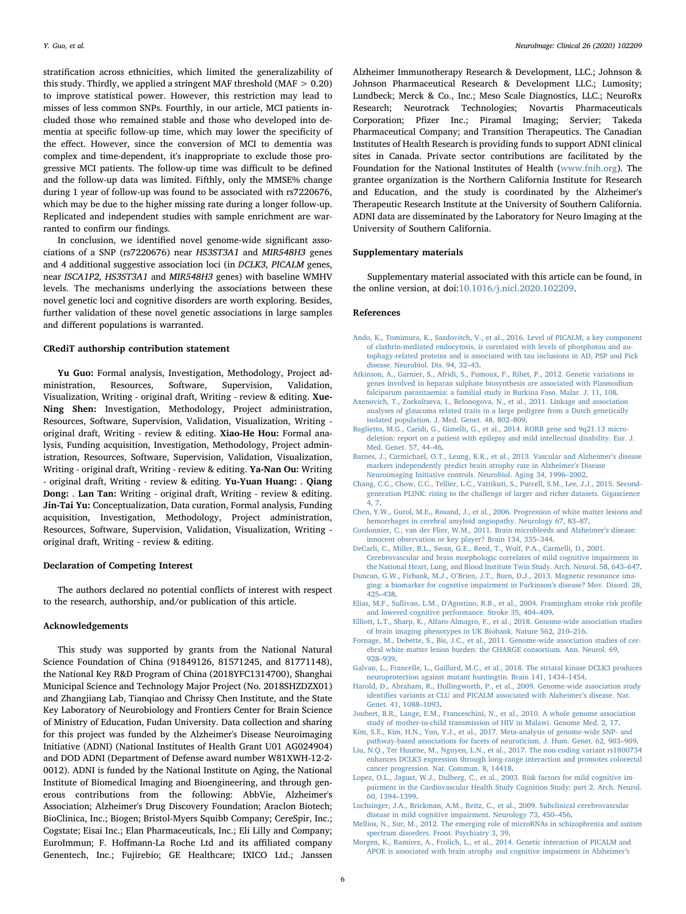stratification across ethnicities, which limited the generalizability of this study. Thirdly, we applied a stringent MAF threshold (MAF  $> 0.20$ ) to improve statistical power. However, this restriction may lead to misses of less common SNPs. Fourthly, in our article, MCI patients included those who remained stable and those who developed into dementia at specific follow-up time, which may lower the specificity of the effect. However, since the conversion of MCI to dementia was complex and time-dependent, it's inappropriate to exclude those progressive MCI patients. The follow-up time was difficult to be defined and the follow-up data was limited. Fifthly, only the MMSE% change during 1 year of follow-up was found to be associated with rs7220676, which may be due to the higher missing rate during a longer follow-up. Replicated and independent studies with sample enrichment are warranted to confirm our findings.

In conclusion, we identified novel genome-wide significant associations of a SNP (rs7220676) near HS3ST3A1 and MIR548H3 genes and 4 additional suggestive association loci (in DCLK3, PICALM genes, near ISCA1P2, HS3ST3A1 and MIR548H3 genes) with baseline WMHV levels. The mechanisms underlying the associations between these novel genetic loci and cognitive disorders are worth exploring. Besides, further validation of these novel genetic associations in large samples and different populations is warranted.

# CRediT authorship contribution statement

Yu Guo: Formal analysis, Investigation, Methodology, Project administration, Resources, Software, Supervision, Validation, Visualization, Writing - original draft, Writing - review & editing. Xue-Ning Shen: Investigation, Methodology, Project administration, Resources, Software, Supervision, Validation, Visualization, Writing original draft, Writing - review & editing. Xiao-He Hou: Formal analysis, Funding acquisition, Investigation, Methodology, Project administration, Resources, Software, Supervision, Validation, Visualization, Writing - original draft, Writing - review & editing. Ya-Nan Ou: Writing - original draft, Writing - review & editing. Yu-Yuan Huang: . Qiang Dong: . Lan Tan: Writing - original draft, Writing - review & editing. Jin-Tai Yu: Conceptualization, Data curation, Formal analysis, Funding acquisition, Investigation, Methodology, Project administration, Resources, Software, Supervision, Validation, Visualization, Writing original draft, Writing - review & editing.

#### Declaration of Competing Interest

The authors declared no potential conflicts of interest with respect to the research, authorship, and/or publication of this article.

#### Acknowledgements

This study was supported by grants from the National Natural Science Foundation of China (91849126, 81571245, and 81771148), the National Key R&D Program of China (2018YFC1314700), Shanghai Municipal Science and Technology Major Project (No. 2018SHZDZX01) and Zhangjiang Lab, Tianqiao and Chrissy Chen Institute, and the State Key Laboratory of Neurobiology and Frontiers Center for Brain Science of Ministry of Education, Fudan University. Data collection and sharing for this project was funded by the Alzheimer's Disease Neuroimaging Initiative (ADNI) (National Institutes of Health Grant U01 AG024904) and DOD ADNI (Department of Defense award number W81XWH-12-2- 0012). ADNI is funded by the National Institute on Aging, the National Institute of Biomedical Imaging and Bioengineering, and through generous contributions from the following: AbbVie, Alzheimer's Association; Alzheimer's Drug Discovery Foundation; Araclon Biotech; BioClinica, Inc.; Biogen; Bristol-Myers Squibb Company; CereSpir, Inc.; Cogstate; Eisai Inc.; Elan Pharmaceuticals, Inc.; Eli Lilly and Company; EuroImmun; F. Hoffmann-La Roche Ltd and its affiliated company Genentech, Inc.; Fujirebio; GE Healthcare; IXICO Ltd.; Janssen

Alzheimer Immunotherapy Research & Development, LLC.; Johnson & Johnson Pharmaceutical Research & Development LLC.; Lumosity; Lundbeck; Merck & Co., Inc.; Meso Scale Diagnostics, LLC.; NeuroRx Research; Neurotrack Technologies; Novartis Pharmaceuticals Corporation; Pfizer Inc.; Piramal Imaging; Servier; Takeda Pharmaceutical Company; and Transition Therapeutics. The Canadian Institutes of Health Research is providing funds to support ADNI clinical sites in Canada. Private sector contributions are facilitated by the Foundation for the National Institutes of Health ([www.fnih.org\)](http://www.fnih.org). The grantee organization is the Northern California Institute for Research and Education, and the study is coordinated by the Alzheimer's Therapeutic Research Institute at the University of Southern California. ADNI data are disseminated by the Laboratory for Neuro Imaging at the University of Southern California.

# Supplementary materials

Supplementary material associated with this article can be found, in the online version, at doi:[10.1016/j.nicl.2020.102209.](https://doi.org/10.1016/j.nicl.2020.102209)

#### References

- <span id="page-5-16"></span>[Ando, K., Tomimura, K., Sazdovitch, V., et al., 2016. Level of PICALM, a key component](http://refhub.elsevier.com/S2213-1582(20)30046-2/sbref0001) [of clathrin-mediated endocytosis, is correlated with levels of phosphotau and au](http://refhub.elsevier.com/S2213-1582(20)30046-2/sbref0001)[tophagy-related proteins and is associated with tau inclusions in AD, PSP and Pick](http://refhub.elsevier.com/S2213-1582(20)30046-2/sbref0001) [disease. Neurobiol. Dis. 94, 32](http://refhub.elsevier.com/S2213-1582(20)30046-2/sbref0001)–43.
- <span id="page-5-10"></span>[Atkinson, A., Garnier, S., Afridi, S., Fumoux, F., Rihet, P., 2012. Genetic variations in](http://refhub.elsevier.com/S2213-1582(20)30046-2/sbref0002) [genes involved in heparan sulphate biosynthesis are associated with Plasmodium](http://refhub.elsevier.com/S2213-1582(20)30046-2/sbref0002) [falciparum parasitaemia: a familial study in Burkina Faso. Malar. J. 11, 108.](http://refhub.elsevier.com/S2213-1582(20)30046-2/sbref0002)
- <span id="page-5-19"></span>[Axenovich, T., Zorkoltseva, I., Belonogova, N., et al., 2011. Linkage and association](http://refhub.elsevier.com/S2213-1582(20)30046-2/sbref0003) [analyses of glaucoma related traits in a large pedigree from a Dutch genetically](http://refhub.elsevier.com/S2213-1582(20)30046-2/sbref0003) [isolated population. J. Med. Genet. 48, 802](http://refhub.elsevier.com/S2213-1582(20)30046-2/sbref0003)–809.
- <span id="page-5-13"></span>[Baglietto, M.G., Caridi, G., Gimelli, G., et al., 2014. RORB gene and 9q21.13 micro](http://refhub.elsevier.com/S2213-1582(20)30046-2/sbref0004)[deletion: report on a patient with epilepsy and mild intellectual disability. Eur. J.](http://refhub.elsevier.com/S2213-1582(20)30046-2/sbref0004) [Med. Genet. 57, 44](http://refhub.elsevier.com/S2213-1582(20)30046-2/sbref0004)–46.
- <span id="page-5-3"></span>[Barnes, J., Carmichael, O.T., Leung, K.K., et al., 2013. Vascular and Alzheimer](http://refhub.elsevier.com/S2213-1582(20)30046-2/sbref0005)'s disease [markers independently predict brain atrophy rate in Alzheimer](http://refhub.elsevier.com/S2213-1582(20)30046-2/sbref0005)'s Disease [Neuroimaging Initiative controls. Neurobiol. Aging 34, 1996](http://refhub.elsevier.com/S2213-1582(20)30046-2/sbref0005)–2002.
- <span id="page-5-8"></span>[Chang, C.C., Chow, C.C., Tellier, L.C., Vattikuti, S., Purcell, S.M., Lee, J.J., 2015. Second](http://refhub.elsevier.com/S2213-1582(20)30046-2/sbref0006)[generation PLINK: rising to the challenge of larger and richer datasets. Gigascience](http://refhub.elsevier.com/S2213-1582(20)30046-2/sbref0006) [4, 7.](http://refhub.elsevier.com/S2213-1582(20)30046-2/sbref0006)
- <span id="page-5-6"></span>[Chen, Y.W., Gurol, M.E., Rosand, J., et al., 2006. Progression of white matter lesions and](http://refhub.elsevier.com/S2213-1582(20)30046-2/sbref0007) [hemorrhages in cerebral amyloid angiopathy. Neurology 67, 83](http://refhub.elsevier.com/S2213-1582(20)30046-2/sbref0007)–87.
- <span id="page-5-5"></span>[Cordonnier, C., van der Flier, W.M., 2011. Brain microbleeds and Alzheimer](http://refhub.elsevier.com/S2213-1582(20)30046-2/sbref0008)'s disease: [innocent observation or key player? Brain 134, 335](http://refhub.elsevier.com/S2213-1582(20)30046-2/sbref0008)–344.
- <span id="page-5-0"></span>[DeCarli, C., Miller, B.L., Swan, G.E., Reed, T., Wolf, P.A., Carmelli, D., 2001.](http://refhub.elsevier.com/S2213-1582(20)30046-2/sbref0009) [Cerebrovascular and brain morphologic correlates of mild cognitive impairment in](http://refhub.elsevier.com/S2213-1582(20)30046-2/sbref0009) [the National Heart, Lung, and Blood Institute Twin Study. Arch. Neurol. 58, 643](http://refhub.elsevier.com/S2213-1582(20)30046-2/sbref0009)–647.
- <span id="page-5-7"></span>Duncan, G.W., Firbank, M.J., O'[Brien, J.T., Burn, D.J., 2013. Magnetic resonance ima](http://refhub.elsevier.com/S2213-1582(20)30046-2/sbref0010)[ging: a biomarker for cognitive impairment in Parkinson](http://refhub.elsevier.com/S2213-1582(20)30046-2/sbref0010)'s disease? Mov. Disord. 28, 425–[438](http://refhub.elsevier.com/S2213-1582(20)30046-2/sbref0010).
- <span id="page-5-2"></span>[Elias, M.F., Sullivan, L.M., D'Agostino, R.B., et al., 2004. Framingham stroke risk pro](http://refhub.elsevier.com/S2213-1582(20)30046-2/sbref0011)file [and lowered cognitive performance. Stroke 35, 404](http://refhub.elsevier.com/S2213-1582(20)30046-2/sbref0011)–409.
- <span id="page-5-21"></span>[Elliott, L.T., Sharp, K., Alfaro-Almagro, F., et al., 2018. Genome-wide association studies](http://refhub.elsevier.com/S2213-1582(20)30046-2/sbref0012) [of brain imaging phenotypes in UK Biobank. Nature 562, 210](http://refhub.elsevier.com/S2213-1582(20)30046-2/sbref0012)–216.
- <span id="page-5-20"></span>[Fornage, M., Debette, S., Bis, J.C., et al., 2011. Genome-wide association studies of cer](http://refhub.elsevier.com/S2213-1582(20)30046-2/sbref0013)[ebral white matter lesion burden: the CHARGE consortium. Ann. Neurol. 69,](http://refhub.elsevier.com/S2213-1582(20)30046-2/sbref0013) 928–[939](http://refhub.elsevier.com/S2213-1582(20)30046-2/sbref0013).
- <span id="page-5-17"></span>[Galvan, L., Francelle, L., Gaillard, M.C., et al., 2018. The striatal kinase DCLK3 produces](http://refhub.elsevier.com/S2213-1582(20)30046-2/sbref0014) [neuroprotection against mutant huntingtin. Brain 141, 1434](http://refhub.elsevier.com/S2213-1582(20)30046-2/sbref0014)–1454.
- <span id="page-5-14"></span>[Harold, D., Abraham, R., Hollingworth, P., et al., 2009. Genome-wide association study](http://refhub.elsevier.com/S2213-1582(20)30046-2/sbref0015) identifi[es variants at CLU and PICALM associated with Alzheimer](http://refhub.elsevier.com/S2213-1582(20)30046-2/sbref0015)'s disease. Nat. [Genet. 41, 1088](http://refhub.elsevier.com/S2213-1582(20)30046-2/sbref0015)–1093.
- <span id="page-5-9"></span>[Joubert, B.R., Lange, E.M., Franceschini, N., et al., 2010. A whole genome association](http://refhub.elsevier.com/S2213-1582(20)30046-2/sbref0016) [study of mother-to-child transmission of HIV in Malawi. Genome Med. 2, 17](http://refhub.elsevier.com/S2213-1582(20)30046-2/sbref0016). [Kim, S.E., Kim, H.N., Yun, Y.J., et al., 2017. Meta-analysis of genome-wide SNP- and](http://refhub.elsevier.com/S2213-1582(20)30046-2/sbref0017)
- <span id="page-5-12"></span>[pathway-based associations for facets of neuroticism. J. Hum. Genet. 62, 903](http://refhub.elsevier.com/S2213-1582(20)30046-2/sbref0017)–909.
- <span id="page-5-18"></span>Liu, [N.Q., Ter Huurne, M., Nguyen, L.N., et al., 2017. The non-coding variant rs1800734](http://refhub.elsevier.com/S2213-1582(20)30046-2/sbref0018) [enhances DCLK3 expression through long-range interaction and promotes colorectal](http://refhub.elsevier.com/S2213-1582(20)30046-2/sbref0018) [cancer progression. Nat. Commun. 8, 14418](http://refhub.elsevier.com/S2213-1582(20)30046-2/sbref0018).
- <span id="page-5-1"></span>[Lopez, O.L., Jagust, W.J., Dulberg, C., et al., 2003. Risk factors for mild cognitive im](http://refhub.elsevier.com/S2213-1582(20)30046-2/sbref0019)[pairment in the Cardiovascular Health Study Cognition Study: part 2. Arch. Neurol.](http://refhub.elsevier.com/S2213-1582(20)30046-2/sbref0019) [60, 1394](http://refhub.elsevier.com/S2213-1582(20)30046-2/sbref0019)–1399.
- <span id="page-5-4"></span>[Luchsinger, J.A., Brickman, A.M., Reitz, C., et al., 2009. Subclinical cerebrovascular](http://refhub.elsevier.com/S2213-1582(20)30046-2/sbref0020) [disease in mild cognitive impairment. Neurology 73, 450](http://refhub.elsevier.com/S2213-1582(20)30046-2/sbref0020)–456.
- <span id="page-5-11"></span>[Mellios, N., Sur, M., 2012. The emerging role of microRNAs in schizophrenia and autism](http://refhub.elsevier.com/S2213-1582(20)30046-2/sbref0021) [spectrum disorders. Front. Psychiatry 3, 39.](http://refhub.elsevier.com/S2213-1582(20)30046-2/sbref0021)
- <span id="page-5-15"></span>[Morgen, K., Ramirez, A., Frolich, L., et al., 2014. Genetic interaction of PICALM and](http://refhub.elsevier.com/S2213-1582(20)30046-2/sbref0022) [APOE is associated with brain atrophy and cognitive impairment in Alzheimer](http://refhub.elsevier.com/S2213-1582(20)30046-2/sbref0022)'s